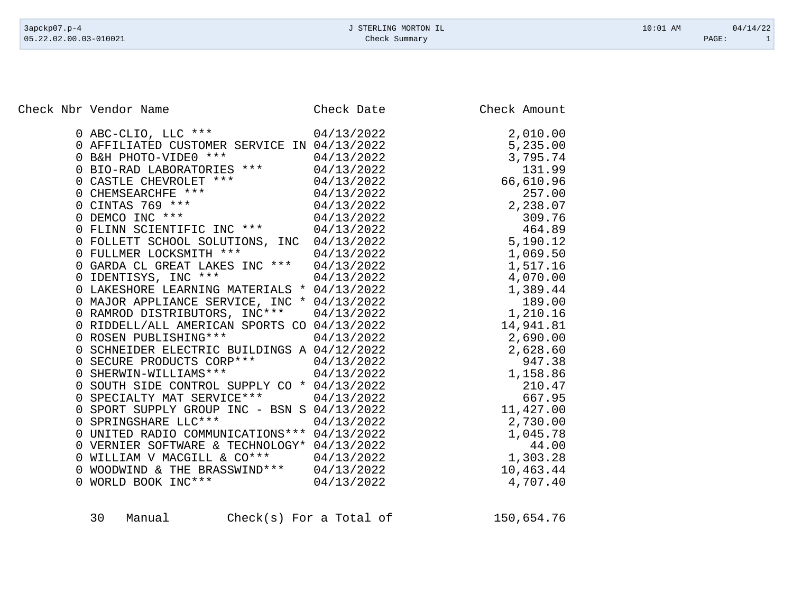Check Nbr Vendor Name Check Date Check Date Check Amount

| $0$ ABC-CLIO, LLC ***                                                               | 04/13/2022 | 2,010.00  |
|-------------------------------------------------------------------------------------|------------|-----------|
| 0 AFFILIATED CUSTOMER SERVICE IN 04/13/2022                                         |            | 5,235.00  |
| 0 B&H PHOTO-VIDE0 *** 04/13/2022                                                    |            | 3,795.74  |
| 0 BIO-RAD LABORATORIES *** 04/13/2022                                               |            | 131.99    |
|                                                                                     | 04/13/2022 | 66,610.96 |
| 0 CASTLE CHEVROLET ***<br>0 CHEMSEARCHFE ***<br>0 CINTAS 769 ***<br>0 DEMCO INC *** | 04/13/2022 | 257.00    |
|                                                                                     | 04/13/2022 | 2,238.07  |
|                                                                                     | 04/13/2022 | 309.76    |
| 0 FLINN SCIENTIFIC INC *** 04/13/2022                                               |            | 464.89    |
| 0 FOLLETT SCHOOL SOLUTIONS, INC 04/13/2022                                          |            | 5,190.12  |
| 0 FULLMER LOCKSMITH ***                                                             | 04/13/2022 | 1,069.50  |
| 0 GARDA CL GREAT LAKES INC *** 04/13/2022                                           |            | 1,517.16  |
| 0 IDENTISYS, INC ***                                                                | 04/13/2022 | 4,070.00  |
| 0 LAKESHORE LEARNING MATERIALS * 04/13/2022                                         |            | 1,389.44  |
| 0 MAJOR APPLIANCE SERVICE, INC * 04/13/2022                                         |            | 189.00    |
| 0 RAMROD DISTRIBUTORS, INC*** 04/13/2022                                            |            | 1,210.16  |
| 0 RIDDELL/ALL AMERICAN SPORTS CO 04/13/2022                                         |            | 14,941.81 |
| 0 ROSEN PUBLISHING *** 04/13/2022                                                   |            | 2,690.00  |
| 0 SCHNEIDER ELECTRIC BUILDINGS A 04/12/2022                                         |            | 2,628.60  |
| 0 SECURE PRODUCTS CORP *** 04/13/2022                                               |            | 947.38    |
| 0 SHERWIN-WILLIAMS *** 04/13/2022                                                   |            | 1,158.86  |
| 0 SOUTH SIDE CONTROL SUPPLY CO * 04/13/2022                                         |            | 210.47    |
| 0 SPECIALTY MAT SERVICE*** 04/13/2022                                               |            | 667.95    |
| 0 SPORT SUPPLY GROUP INC - BSN S 04/13/2022                                         |            | 11,427.00 |
| 0 SPRINGSHARE LLC ***                                                               | 04/13/2022 | 2,730.00  |
| 0 UNITED RADIO COMMUNICATIONS *** 04/13/2022                                        |            | 1,045.78  |
| 0 VERNIER SOFTWARE & TECHNOLOGY* 04/13/2022                                         |            | 44.00     |
| 0 WILLIAM V MACGILL & CO*** 04/13/2022                                              |            | 1,303.28  |
| 0 WOODWIND & THE BRASSWIND*** 04/13/2022                                            |            | 10,463.44 |
| 04/13/2022<br>0 WORLD BOOK INC ***                                                  |            | 4,707.40  |
|                                                                                     |            |           |

| 30 |        |
|----|--------|
|    | Manual |
|    |        |